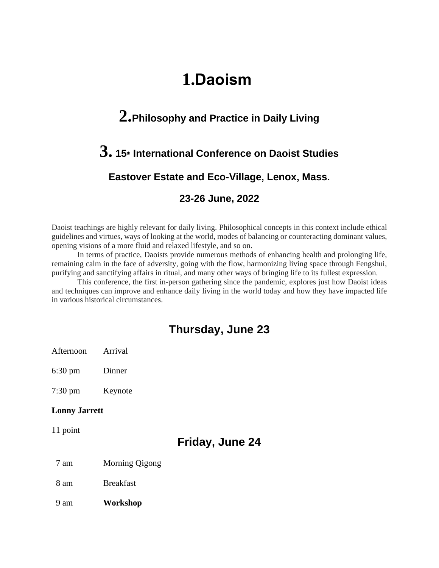# **1.Daoism**

# **2.Philosophy and Practice in Daily Living**

# **3. <sup>15</sup>th International Conference on Daoist Studies**

# **Eastover Estate and Eco-Village, Lenox, Mass.**

## **23-26 June, 2022**

Daoist teachings are highly relevant for daily living. Philosophical concepts in this context include ethical guidelines and virtues, ways of looking at the world, modes of balancing or counteracting dominant values, opening visions of a more fluid and relaxed lifestyle, and so on.

In terms of practice, Daoists provide numerous methods of enhancing health and prolonging life, remaining calm in the face of adversity, going with the flow, harmonizing living space through Fengshui, purifying and sanctifying affairs in ritual, and many other ways of bringing life to its fullest expression.

This conference, the first in-person gathering since the pandemic, explores just how Daoist ideas and techniques can improve and enhance daily living in the world today and how they have impacted life in various historical circumstances.

# **Thursday, June 23**

- Afternoon Arrival
- 6:30 pm Dinner

7:30 pm Keynote

#### **Lonny Jarrett**

11 point

# **Friday, June 24**

- 7 am Morning Qigong
- 8 am Breakfast
- 9 am **Workshop**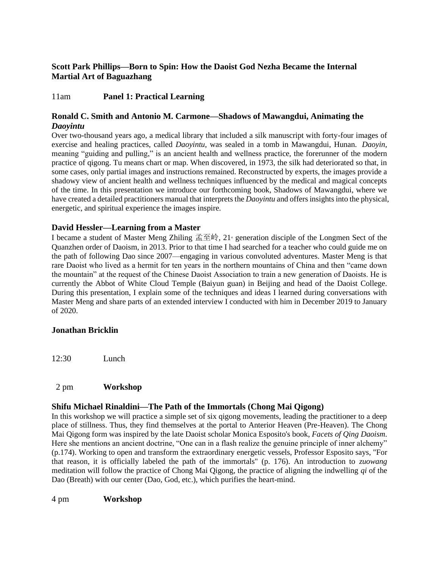## **Scott Park Phillips—Born to Spin: How the Daoist God Nezha Became the Internal Martial Art of Baguazhang**

# 11am **Panel 1: Practical Learning**

## **Ronald C. Smith and Antonio M. Carmone—Shadows of Mawangdui, Animating the**  *Daoyintu*

Over two-thousand years ago, a medical library that included a silk manuscript with forty-four images of exercise and healing practices, called *Daoyintu*, was sealed in a tomb in Mawangdui, Hunan. *Daoyin*, meaning "guiding and pulling," is an ancient health and wellness practice, the forerunner of the modern practice of qigong. Tu means chart or map. When discovered, in 1973, the silk had deteriorated so that, in some cases, only partial images and instructions remained. Reconstructed by experts, the images provide a shadowy view of ancient health and wellness techniques influenced by the medical and magical concepts of the time. In this presentation we introduce our forthcoming book, Shadows of Mawangdui, where we have created a detailed practitioners manual that interprets the *Daoyintu* and offers insights into the physical, energetic, and spiritual experience the images inspire.

## **David Hessler—Learning from a Master**

I became a student of Master Meng Zhiling  $\angle \angle \angle \angle 21$  generation disciple of the Longmen Sect of the Quanzhen order of Daoism, in 2013. Prior to that time I had searched for a teacher who could guide me on the path of following Dao since 2007—engaging in various convoluted adventures. Master Meng is that rare Daoist who lived as a hermit for ten years in the northern mountains of China and then "came down the mountain" at the request of the Chinese Daoist Association to train a new generation of Daoists. He is currently the Abbot of White Cloud Temple (Baiyun guan) in Beijing and head of the Daoist College. During this presentation, I explain some of the techniques and ideas I learned during conversations with Master Meng and share parts of an extended interview I conducted with him in December 2019 to January of 2020.

## **Jonathan Bricklin**

12:30 Lunch

## 2 pm **Workshop**

## **Shifu Michael Rinaldini—The Path of the Immortals (Chong Mai Qigong)**

In this workshop we will practice a simple set of six qigong movements, leading the practitioner to a deep place of stillness. Thus, they find themselves at the portal to Anterior Heaven (Pre-Heaven). The Chong Mai Qigong form was inspired by the late Daoist scholar Monica Esposito's book, *Facets of Qing Daoism*. Here she mentions an ancient doctrine, "One can in a flash realize the genuine principle of inner alchemy" (p.174). Working to open and transform the extraordinary energetic vessels, Professor Esposito says, "For that reason, it is officially labeled the path of the immortals" (p. 176). An introduction to *zuowang* meditation will follow the practice of Chong Mai Qigong, the practice of aligning the indwelling *qi* of the Dao (Breath) with our center (Dao, God, etc.), which purifies the heart-mind.

4 pm **Workshop**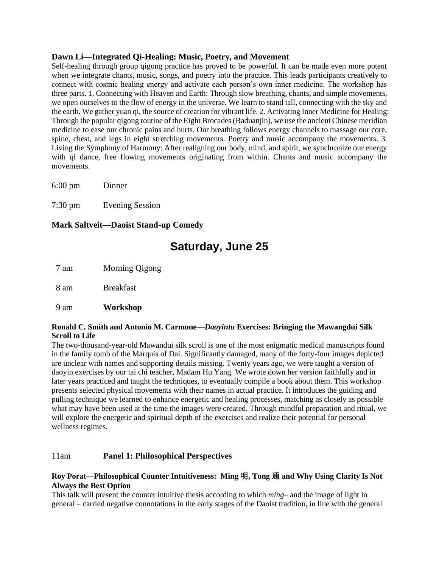#### **Dawn Li—Integrated Qi-Healing: Music, Poetry, and Movement**

Self-healing through group qigong practice has proved to be powerful. It can be made even more potent when we integrate chants, music, songs, and poetry into the practice. This leads participants creatively to connect with cosmic healing energy and activate each person's own inner medicine. The workshop has three parts. 1. Connecting with Heaven and Earth: Through slow breathing, chants, and simple movements, we open ourselves to the flow of energy in the universe. We learn to stand tall, connecting with the sky and the earth. We gather yuan qi, the source of creation for vibrant life. 2. Activating Inner Medicine for Healing: Through the popular qigong routine of the Eight Brocades (Baduanjin), we use the ancient Chinese meridian medicine to ease our chronic pains and hurts. Our breathing follows energy channels to massage our core, spine, chest, and legs in eight stretching movements. Poetry and music accompany the movements. 3. Living the Symphony of Harmony: After realigning our body, mind, and spirit, we synchronize our energy with qi dance, free flowing movements originating from within. Chants and music accompany the movements.

6:00 pm Dinner

7:30 pm Evening Session

**Mark Saltveit—Daoist Stand-up Comedy**

# **Saturday, June 25**

7 am Morning Qigong

8 am Breakfast

9 am **Workshop**

#### **Ronald C. Smith and Antonio M. Carmone—***Daoyintu* **Exercises: Bringing the Mawangdui Silk Scroll to Life**

The two-thousand-year-old Mawandui silk scroll is one of the most enigmatic medical manuscripts found in the family tomb of the Marquis of Dai. Significantly damaged, many of the forty-four images depicted are unclear with names and supporting details missing. Twenty years ago, we were taught a version of daoyin exercises by our tai chi teacher, Madam Hu Yang. We wrote down her version faithfully and in later years practiced and taught the techniques, to eventually compile a book about them. This workshop presents selected physical movements with their names in actual practice. It introduces the guiding and pulling technique we learned to enhance energetic and healing processes, matching as closely as possible what may have been used at the time the images were created. Through mindful preparation and ritual, we will explore the energetic and spiritual depth of the exercises and realize their potential for personal wellness regimes.

#### 11am **Panel 1: Philosophical Perspectives**

#### **Roy Porat—Philosophical Counter Intuitiveness: Ming** 明**, Tong** 通 **and Why Using Clarity Is Not Always the Best Option**

This talk will present the counter intuitive thesis according to which *ming*– and the image of light in general – carried negative connotations in the early stages of the Daoist tradition, in line with the general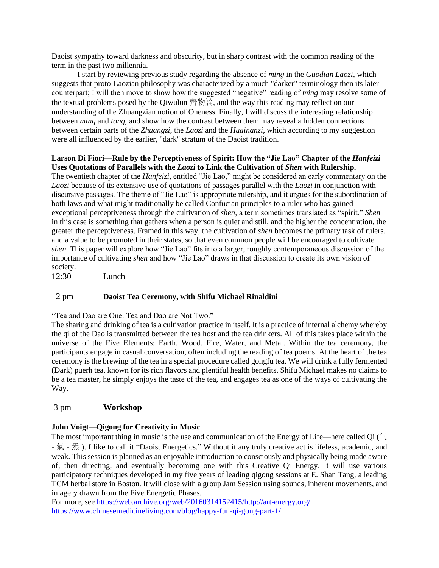Daoist sympathy toward darkness and obscurity, but in sharp contrast with the common reading of the term in the past two millennia.

I start by reviewing previous study regarding the absence of *ming* in the *Guodian Laozi*, which suggests that proto-Laozian philosophy was characterized by a much "darker" terminology then its later counterpart; I will then move to show how the suggested "negative" reading of *ming* may resolve some of the textual problems posed by the Qiwulun 齊物論, and the way this reading may reflect on our understanding of the Zhuangzian notion of Oneness. Finally, I will discuss the interesting relationship between *ming* and *tong*, and show how the contrast between them may reveal a hidden connections between certain parts of the *Zhuangzi*, the *Laozi* and the *Huainanzi*, which according to my suggestion were all influenced by the earlier, "dark" stratum of the Daoist tradition.

#### Larson Di Fiori—Rule by the Perceptiveness of Spirit: How the "Jie Lao" Chapter of the *Hanfeizi* **Uses Quotations of Parallels with the** *Laozi* **to Link the Cultivation of** *Shen* **with Rulership.**

The twentieth chapter of the *Hanfeizi*, entitled "Jie Lao," might be considered an early commentary on the *Laozi* because of its extensive use of quotations of passages parallel with the *Laozi* in conjunction with discursive passages. The theme of "Jie Lao" is appropriate rulership, and it argues for the subordination of both laws and what might traditionally be called Confucian principles to a ruler who has gained exceptional perceptiveness through the cultivation of *shen*, a term sometimes translated as "spirit." *Shen*  in this case is something that gathers when a person is quiet and still, and the higher the concentration, the greater the perceptiveness. Framed in this way, the cultivation of *shen* becomes the primary task of rulers, and a value to be promoted in their states, so that even common people will be encouraged to cultivate *shen*. This paper will explore how "Jie Lao" fits into a larger, roughly contemporaneous discussion of the importance of cultivating *shen* and how "Jie Lao" draws in that discussion to create its own vision of society.

12:30 Lunch

#### 2 pm **Daoist Tea Ceremony, with Shifu Michael Rinaldini**

"Tea and Dao are One. Tea and Dao are Not Two."

The sharing and drinking of tea is a cultivation practice in itself. It is a practice of internal alchemy whereby the qi of the Dao is transmitted between the tea host and the tea drinkers. All of this takes place within the universe of the Five Elements: Earth, Wood, Fire, Water, and Metal. Within the tea ceremony, the participants engage in casual conversation, often including the reading of tea poems. At the heart of the tea ceremony is the brewing of the tea in a special procedure called gongfu tea. We will drink a fully fermented (Dark) puerh tea, known for its rich flavors and plentiful health benefits. Shifu Michael makes no claims to be a tea master, he simply enjoys the taste of the tea, and engages tea as one of the ways of cultivating the Way.

#### 3 pm **Workshop**

#### **John Voigt—Qigong for Creativity in Music**

The most important thing in music is the use and communication of the Energy of Life—here called Qi (气 - 氣 - 炁 ). I like to call it "Daoist Energetics." Without it any truly creative act is lifeless, academic, and weak. This session is planned as an enjoyable introduction to consciously and physically being made aware of, then directing, and eventually becoming one with this Creative Qi Energy. It will use various participatory techniques developed in my five years of leading qigong sessions at E. Shan Tang, a leading TCM herbal store in Boston. It will close with a group Jam Session using sounds, inherent movements, and imagery drawn from the Five Energetic Phases.

For more, see [https://web.archive.org/web/20160314152415/http://art-energy.org/.](https://web.archive.org/web/20160314152415/http:/art-energy.org/) <https://www.chinesemedicineliving.com/blog/happy-fun-qi-gong-part-1/>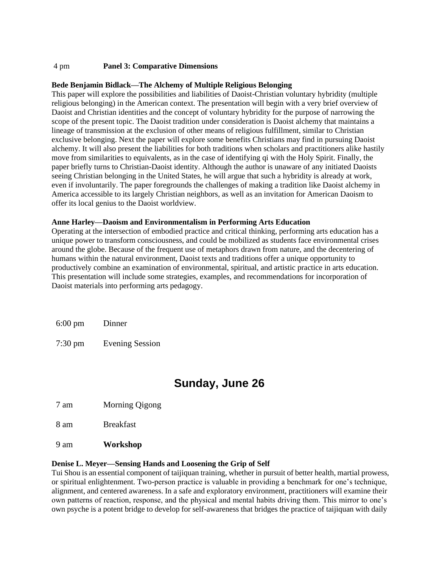#### 4 pm **Panel 3: Comparative Dimensions**

#### **Bede Benjamin Bidlack—The Alchemy of Multiple Religious Belonging**

This paper will explore the possibilities and liabilities of Daoist-Christian voluntary hybridity (multiple religious belonging) in the American context. The presentation will begin with a very brief overview of Daoist and Christian identities and the concept of voluntary hybridity for the purpose of narrowing the scope of the present topic. The Daoist tradition under consideration is Daoist alchemy that maintains a lineage of transmission at the exclusion of other means of religious fulfillment, similar to Christian exclusive belonging. Next the paper will explore some benefits Christians may find in pursuing Daoist alchemy. It will also present the liabilities for both traditions when scholars and practitioners alike hastily move from similarities to equivalents, as in the case of identifying qi with the Holy Spirit. Finally, the paper briefly turns to Christian-Daoist identity. Although the author is unaware of any initiated Daoists seeing Christian belonging in the United States, he will argue that such a hybridity is already at work, even if involuntarily. The paper foregrounds the challenges of making a tradition like Daoist alchemy in America accessible to its largely Christian neighbors, as well as an invitation for American Daoism to offer its local genius to the Daoist worldview.

#### **Anne Harley—Daoism and Environmentalism in Performing Arts Education**

Operating at the intersection of embodied practice and critical thinking, performing arts education has a unique power to transform consciousness, and could be mobilized as students face environmental crises around the globe. Because of the frequent use of metaphors drawn from nature, and the decentering of humans within the natural environment, Daoist texts and traditions offer a unique opportunity to productively combine an examination of environmental, spiritual, and artistic practice in arts education. This presentation will include some strategies, examples, and recommendations for incorporation of Daoist materials into performing arts pedagogy.

6:00 pm Dinner

7:30 pm Evening Session

# **Sunday, June 26**

7 am Morning Qigong

8 am Breakfast

9 am **Workshop**

#### **Denise L. Meyer—Sensing Hands and Loosening the Grip of Self**

Tui Shou is an essential component of taijiquan training, whether in pursuit of better health, martial prowess, or spiritual enlightenment. Two-person practice is valuable in providing a benchmark for one's technique, alignment, and centered awareness. In a safe and exploratory environment, practitioners will examine their own patterns of reaction, response, and the physical and mental habits driving them. This mirror to one's own psyche is a potent bridge to develop for self-awareness that bridges the practice of taijiquan with daily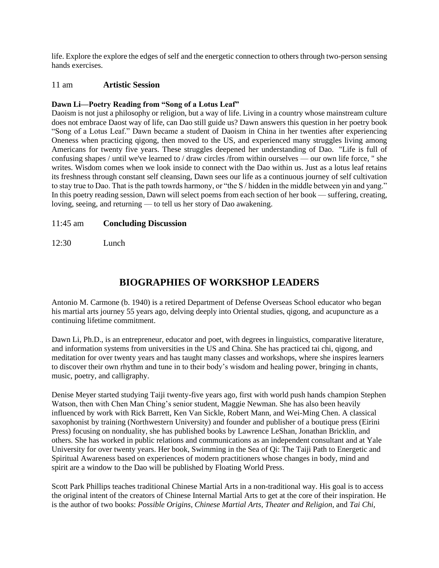life. Explore the explore the edges of self and the energetic connection to others through two-person sensing hands exercises.

#### 11 am **Artistic Session**

#### **Dawn Li—Poetry Reading from "Song of a Lotus Leaf"**

Daoism is not just a philosophy or religion, but a way of life. Living in a country whose mainstream culture does not embrace Daost way of life, can Dao still guide us? Dawn answers this question in her poetry book "Song of a Lotus Leaf." Dawn became a student of Daoism in China in her twenties after experiencing Oneness when practicing qigong, then moved to the US, and experienced many struggles living among Americans for twenty five years. These struggles deepened her understanding of Dao. "Life is full of confusing shapes / until we've learned to / draw circles /from within ourselves — our own life force, " she writes. Wisdom comes when we look inside to connect with the Dao within us. Just as a lotus leaf retains its freshness through constant self cleansing, Dawn sees our life as a continuous journey of self cultivation to stay true to Dao. That is the path towrds harmony, or "the S / hidden in the middle between yin and yang." In this poetry reading session, Dawn will select poems from each section of her book — suffering, creating, loving, seeing, and returning — to tell us her story of Dao awakening.

#### 11:45 am **Concluding Discussion**

12:30 Lunch

# **BIOGRAPHIES OF WORKSHOP LEADERS**

Antonio M. Carmone (b. 1940) is a retired Department of Defense Overseas School educator who began his martial arts journey 55 years ago, delving deeply into Oriental studies, qigong, and acupuncture as a continuing lifetime commitment.

Dawn Li, Ph.D., is an entrepreneur, educator and poet, with degrees in linguistics, comparative literature, and information systems from universities in the US and China. She has practiced tai chi, qigong, and meditation for over twenty years and has taught many classes and workshops, where she inspires learners to discover their own rhythm and tune in to their body's wisdom and healing power, bringing in chants, music, poetry, and calligraphy.

Denise Meyer started studying Taiji twenty-five years ago, first with world push hands champion Stephen Watson, then with Chen Man Ching's senior student, Maggie Newman. She has also been heavily influenced by work with Rick Barrett, Ken Van Sickle, Robert Mann, and Wei-Ming Chen. A classical saxophonist by training (Northwestern University) and founder and publisher of a boutique press (Eirini Press) focusing on nonduality, she has published books by Lawrence LeShan, Jonathan Bricklin, and others. She has worked in public relations and communications as an independent consultant and at Yale University for over twenty years. Her book, Swimming in the Sea of Qi: The Taiji Path to Energetic and Spiritual Awareness based on experiences of modern practitioners whose changes in body, mind and spirit are a window to the Dao will be published by Floating World Press.

Scott Park Phillips teaches traditional Chinese Martial Arts in a non-traditional way. His goal is to access the original intent of the creators of Chinese Internal Martial Arts to get at the core of their inspiration. He is the author of two books: *Possible Origins, Chinese Martial Arts, Theater and Religion*, and *Tai Chi,*